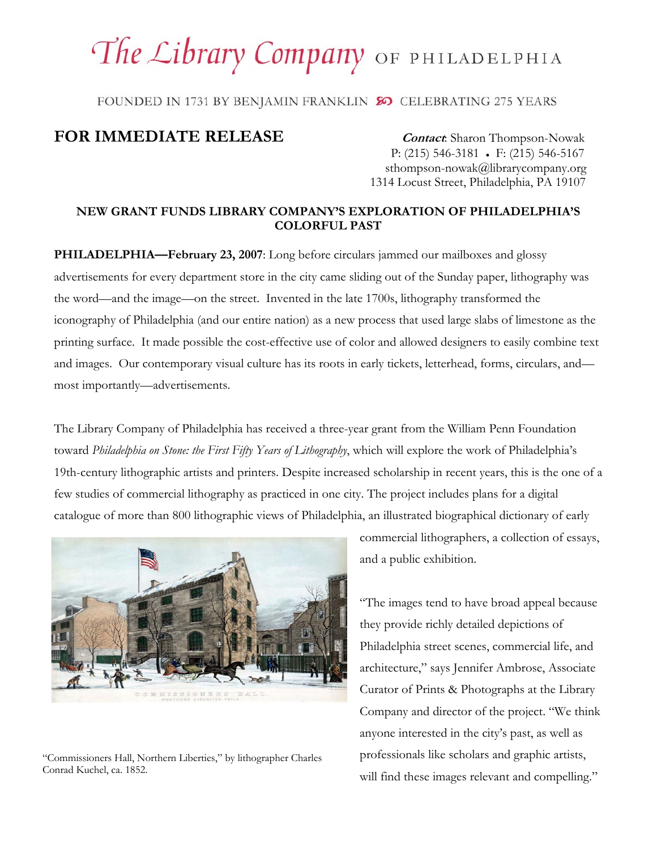## The Library Company OF PHILADELPHIA

FOUNDED IN 1731 BY BENJAMIN FRANKLIN SO CELEBRATING 275 YEARS

## **FOR IMMEDIATE RELEASE** *Contact: Sharon Thompson-Nowak*

 P: (215) 546-3181 ● F: (215) 546-5167 sthompson-nowak@librarycompany.org 1314 Locust Street, Philadelphia, PA 19107

## **NEW GRANT FUNDS LIBRARY COMPANY'S EXPLORATION OF PHILADELPHIA'S COLORFUL PAST**

**PHILADELPHIA—February 23, 2007**: Long before circulars jammed our mailboxes and glossy advertisements for every department store in the city came sliding out of the Sunday paper, lithography was the word—and the image—on the street. Invented in the late 1700s, lithography transformed the iconography of Philadelphia (and our entire nation) as a new process that used large slabs of limestone as the printing surface. It made possible the cost-effective use of color and allowed designers to easily combine text and images. Our contemporary visual culture has its roots in early tickets, letterhead, forms, circulars, and most importantly—advertisements.

The Library Company of Philadelphia has received a three-year grant from the William Penn Foundation toward *Philadelphia on Stone: the First Fifty Years of Lithography*, which will explore the work of Philadelphia's 19th-century lithographic artists and printers. Despite increased scholarship in recent years, this is the one of a few studies of commercial lithography as practiced in one city. The project includes plans for a digital catalogue of more than 800 lithographic views of Philadelphia, an illustrated biographical dictionary of early



"Commissioners Hall, Northern Liberties," by lithographer Charles Conrad Kuchel, ca. 1852.

commercial lithographers, a collection of essays, and a public exhibition.

"The images tend to have broad appeal because they provide richly detailed depictions of Philadelphia street scenes, commercial life, and architecture," says Jennifer Ambrose, Associate Curator of Prints & Photographs at the Library Company and director of the project. "We think anyone interested in the city's past, as well as professionals like scholars and graphic artists, will find these images relevant and compelling."